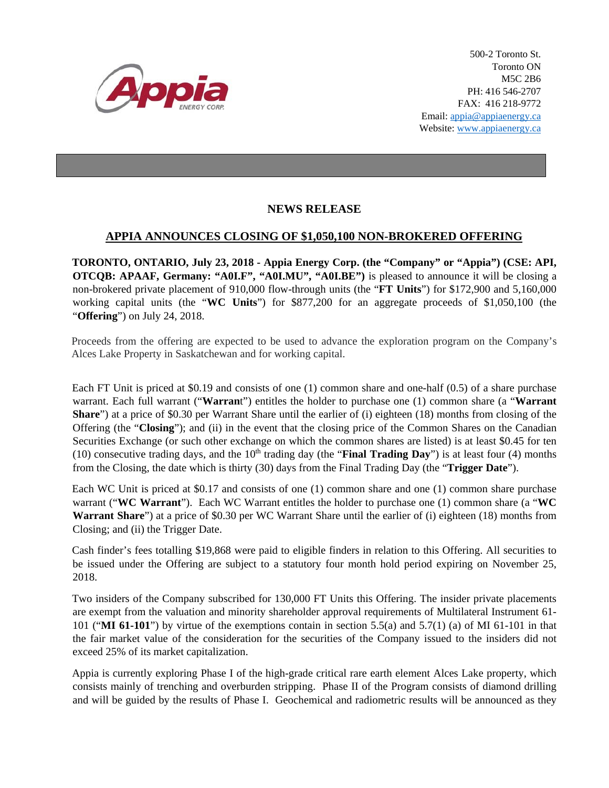

500-2 Toronto St. Toronto ON M5C 2B6 PH: 416 546-2707 FAX: 416 218-9772 Email: appia@appiaenergy.ca Website: www.appiaenergy.ca

## **NEWS RELEASE**

## **APPIA ANNOUNCES CLOSING OF \$1,050,100 NON-BROKERED OFFERING**

**TORONTO, ONTARIO, July 23, 2018 - Appia Energy Corp. (the "Company" or "Appia") (CSE: API, OTCQB: APAAF, Germany: "A0I.F", "A0I.MU", "A0I.BE")** is pleased to announce it will be closing a non-brokered private placement of 910,000 flow-through units (the "**FT Units**") for \$172,900 and 5,160,000 working capital units (the "**WC Units**") for \$877,200 for an aggregate proceeds of \$1,050,100 (the "**Offering**") on July 24, 2018.

Proceeds from the offering are expected to be used to advance the exploration program on the Company's Alces Lake Property in Saskatchewan and for working capital.

Each FT Unit is priced at \$0.19 and consists of one (1) common share and one-half (0.5) of a share purchase warrant. Each full warrant ("**Warran**t") entitles the holder to purchase one (1) common share (a "**Warrant Share**") at a price of \$0.30 per Warrant Share until the earlier of (i) eighteen (18) months from closing of the Offering (the "**Closing**"); and (ii) in the event that the closing price of the Common Shares on the Canadian Securities Exchange (or such other exchange on which the common shares are listed) is at least \$0.45 for ten (10) consecutive trading days, and the  $10<sup>th</sup>$  trading day (the "**Final Trading Day**") is at least four (4) months from the Closing, the date which is thirty (30) days from the Final Trading Day (the "**Trigger Date**").

Each WC Unit is priced at \$0.17 and consists of one (1) common share and one (1) common share purchase warrant ("**WC Warrant**"). Each WC Warrant entitles the holder to purchase one (1) common share (a "**WC Warrant Share**") at a price of \$0.30 per WC Warrant Share until the earlier of (i) eighteen (18) months from Closing; and (ii) the Trigger Date.

Cash finder's fees totalling \$19,868 were paid to eligible finders in relation to this Offering. All securities to be issued under the Offering are subject to a statutory four month hold period expiring on November 25, 2018.

Two insiders of the Company subscribed for 130,000 FT Units this Offering. The insider private placements are exempt from the valuation and minority shareholder approval requirements of Multilateral Instrument 61- 101 ("**MI 61-101**") by virtue of the exemptions contain in section 5.5(a) and 5.7(1) (a) of MI 61-101 in that the fair market value of the consideration for the securities of the Company issued to the insiders did not exceed 25% of its market capitalization.

Appia is currently exploring Phase I of the high-grade critical rare earth element Alces Lake property, which consists mainly of trenching and overburden stripping. Phase II of the Program consists of diamond drilling and will be guided by the results of Phase I. Geochemical and radiometric results will be announced as they